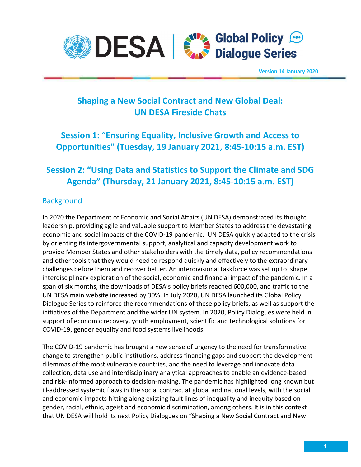

## Shaping a New Social Contract and New Global Deal: UN DESA Fireside Chats

## Session 1: "Ensuring Equality, Inclusive Growth and Access to Opportunities" (Tuesday, 19 January 2021, 8:45-10:15 a.m. EST)

## Session 2: "Using Data and Statistics to Support the Climate and SDG Agenda" (Thursday, 21 January 2021, 8:45-10:15 a.m. EST)

### **Background**

In 2020 the Department of Economic and Social Affairs (UN DESA) demonstrated its thought leadership, providing agile and valuable support to Member States to address the devastating economic and social impacts of the COVID-19 pandemic. UN DESA quickly adapted to the crisis by orienting its intergovernmental support, analytical and capacity development work to provide Member States and other stakeholders with the timely data, policy recommendations and other tools that they would need to respond quickly and effectively to the extraordinary challenges before them and recover better. An interdivisional taskforce was set up to shape interdisciplinary exploration of the social, economic and financial impact of the pandemic. In a span of six months, the downloads of DESA's policy briefs reached 600,000, and traffic to the UN DESA main website increased by 30%. In July 2020, UN DESA launched its Global Policy Dialogue Series to reinforce the recommendations of these policy briefs, as well as support the initiatives of the Department and the wider UN system. In 2020, Policy Dialogues were held in support of economic recovery, youth employment, scientific and technological solutions for COVID-19, gender equality and food systems livelihoods.

The COVID-19 pandemic has brought a new sense of urgency to the need for transformative change to strengthen public institutions, address financing gaps and support the development dilemmas of the most vulnerable countries, and the need to leverage and innovate data collection, data use and interdisciplinary analytical approaches to enable an evidence-based and risk-informed approach to decision-making. The pandemic has highlighted long known but ill-addressed systemic flaws in the social contract at global and national levels, with the social and economic impacts hitting along existing fault lines of inequality and inequity based on gender, racial, ethnic, ageist and economic discrimination, among others. It is in this context that UN DESA will hold its next Policy Dialogues on "Shaping a New Social Contract and New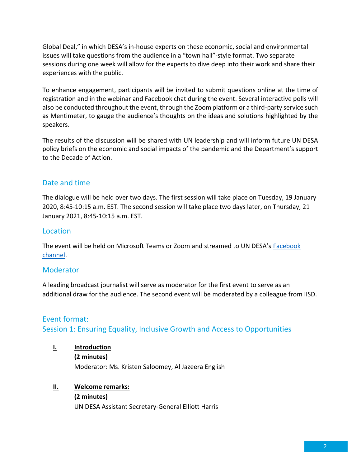Global Deal," in which DESA's in-house experts on these economic, social and environmental issues will take questions from the audience in a "town hall"-style format. Two separate sessions during one week will allow for the experts to dive deep into their work and share their experiences with the public.

To enhance engagement, participants will be invited to submit questions online at the time of registration and in the webinar and Facebook chat during the event. Several interactive polls will also be conducted throughout the event, through the Zoom platform or a third-party service such as Mentimeter, to gauge the audience's thoughts on the ideas and solutions highlighted by the speakers.

The results of the discussion will be shared with UN leadership and will inform future UN DESA policy briefs on the economic and social impacts of the pandemic and the Department's support to the Decade of Action.

### Date and time

The dialogue will be held over two days. The first session will take place on Tuesday, 19 January 2020, 8:45-10:15 a.m. EST. The second session will take place two days later, on Thursday, 21 January 2021, 8:45-10:15 a.m. EST.

### Location

The event will be held on Microsoft Teams or Zoom and streamed to UN DESA's Facebook channel.

#### Moderator

A leading broadcast journalist will serve as moderator for the first event to serve as an additional draw for the audience. The second event will be moderated by a colleague from IISD.

## Event format: Session 1: Ensuring Equality, Inclusive Growth and Access to Opportunities

I. Introduction (2 minutes) Moderator: Ms. Kristen Saloomey, Al Jazeera English

#### II. Welcome remarks:

(2 minutes) UN DESA Assistant Secretary-General Elliott Harris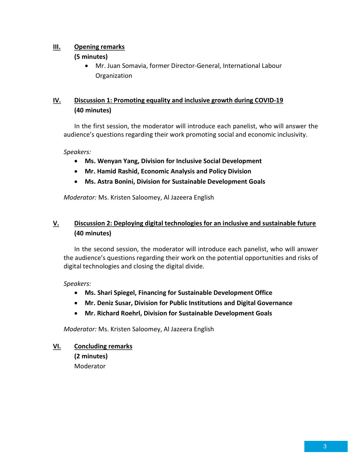### III. Opening remarks

#### (5 minutes)

 Mr. Juan Somavia, former Director-General, International Labour Organization

### IV. Discussion 1: Promoting equality and inclusive growth during COVID-19 (40 minutes)

In the first session, the moderator will introduce each panelist, who will answer the audience's questions regarding their work promoting social and economic inclusivity.

#### Speakers:

- Ms. Wenyan Yang, Division for Inclusive Social Development
- Mr. Hamid Rashid, Economic Analysis and Policy Division
- Ms. Astra Bonini, Division for Sustainable Development Goals

Moderator: Ms. Kristen Saloomey, Al Jazeera English

### V. Discussion 2: Deploying digital technologies for an inclusive and sustainable future (40 minutes)

In the second session, the moderator will introduce each panelist, who will answer the audience's questions regarding their work on the potential opportunities and risks of digital technologies and closing the digital divide.

#### Speakers:

- Ms. Shari Spiegel, Financing for Sustainable Development Office
- Mr. Deniz Susar, Division for Public Institutions and Digital Governance
- Mr. Richard Roehrl, Division for Sustainable Development Goals

Moderator: Ms. Kristen Saloomey, Al Jazeera English

VI. Concluding remarks (2 minutes) Moderator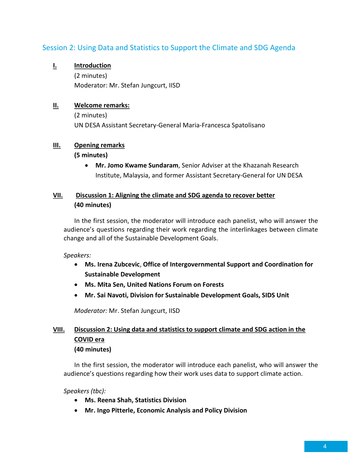### Session 2: Using Data and Statistics to Support the Climate and SDG Agenda

### I. Introduction

(2 minutes) Moderator: Mr. Stefan Jungcurt, IISD

#### II. Welcome remarks:

(2 minutes) UN DESA Assistant Secretary-General Maria-Francesca Spatolisano

#### III. Opening remarks

#### (5 minutes)

• Mr. Jomo Kwame Sundaram, Senior Adviser at the Khazanah Research Institute, Malaysia, and former Assistant Secretary-General for UN DESA

### VII. Discussion 1: Aligning the climate and SDG agenda to recover better (40 minutes)

In the first session, the moderator will introduce each panelist, who will answer the audience's questions regarding their work regarding the interlinkages between climate change and all of the Sustainable Development Goals.

#### Speakers:

- Ms. Irena Zubcevic, Office of Intergovernmental Support and Coordination for Sustainable Development
- Ms. Mita Sen, United Nations Forum on Forests
- Mr. Sai Navoti, Division for Sustainable Development Goals, SIDS Unit

Moderator: Mr. Stefan Jungcurt, IISD

### VIII. Discussion 2: Using data and statistics to support climate and SDG action in the COVID era (40 minutes)

In the first session, the moderator will introduce each panelist, who will answer the audience's questions regarding how their work uses data to support climate action.

Speakers (tbc):

- Ms. Reena Shah, Statistics Division
- Mr. Ingo Pitterle, Economic Analysis and Policy Division